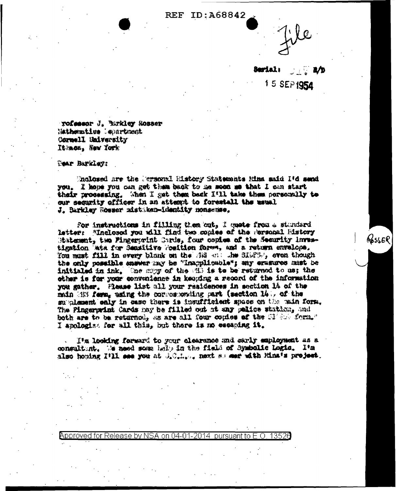**REF ID: A68842** 



Sarial: 2⁄b 15 SEP 1954

Resser

Tofessor J. Burkley Kosser Mathematics Meartment Cornell University Ithmon, New York

Tear Barkley:

Mnalosed are the Mersonal Ristory Statements Rina said 14d send you. I hope you can get them back to me soon me that I can start their processing. When I get them back IVI take them personally to our security officer in an attemt to forestall the usual J. Barkley Rosser mistaken-identity nonaemse.

For instructions in filling then out, I muste from a standard letter: "Inclosed you will find two gonies of the Personal History Statement. two Fingerorint Cards, four copies of the Security investigation With for Sensitive Position forms, and a return envelope. You must fill in every blank on the sig one the SIGPS-, even though the only possible engage may be "inapplicable"; why eramone must be initialed in ink, the mapy of the all is to be returned to us; the other is for your convenience in keeping a record of the information you gather. Please list all your residences in section 14 of the main (i) ferm, using the corresponding part (section 14), of the submissent enly in case there is insufficient space on the muin form. The Pingerprint Cards may be filled out at any pelios station, and both are to be returned, as are all four copies of the Siddy form." I apploging for all thin, but there is no escaping it.

I'm looking forward to your clearance and sarly employment as a consultint. We need some help in the field of Symbolic Logic. Its also honing fill see you at difficiles next so see with Hina's project.

Approved for Release by NSA on 04-01-2014 pursuant to